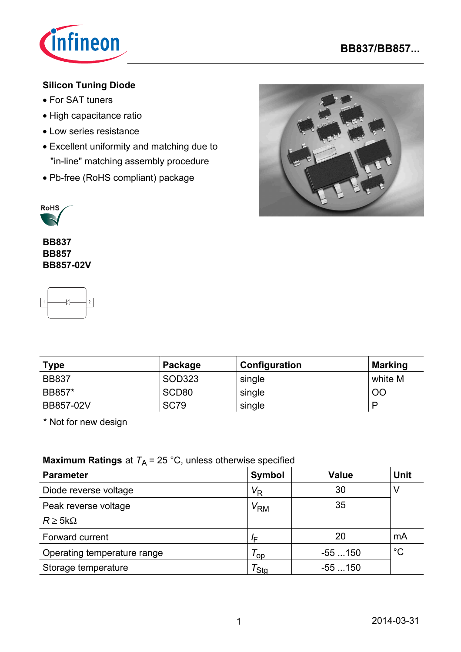

## **Silicon Tuning Diode**

- For SAT tuners
- High capacitance ratio
- Low series resistance
- Excellent uniformity and matching due to "in-line" matching assembly procedure
- Pb-free (RoHS compliant) package





**BB837 BB857 BB857-02V**

|  | $\overline{2}$ |  |
|--|----------------|--|
|  |                |  |

| <b>Type</b>  | Package     | Configuration | <b>Marking</b> |
|--------------|-------------|---------------|----------------|
| <b>BB837</b> | SOD323      | single        | white M        |
| BB857*       | SCD80       | single        | OO             |
| BB857-02V    | <b>SC79</b> | single        | D              |

\* Not for new design

### **Maximum Ratings** at  $T_A = 25 \degree C$ , unless otherwise specified

| <b>Parameter</b>            | <b>Symbol</b>     | <b>Value</b> | <b>Unit</b> |
|-----------------------------|-------------------|--------------|-------------|
| Diode reverse voltage       | $V_{\mathsf{R}}$  | 30           |             |
| Peak reverse voltage        | $V_{\mathsf{RM}}$ | 35           |             |
| $R \geq 5k\Omega$           |                   |              |             |
| Forward current             | /⊏                | 20           | mA          |
| Operating temperature range | op'               | $-55150$     | $^{\circ}C$ |
| Storage temperature         | 'Sta              | $-55150$     |             |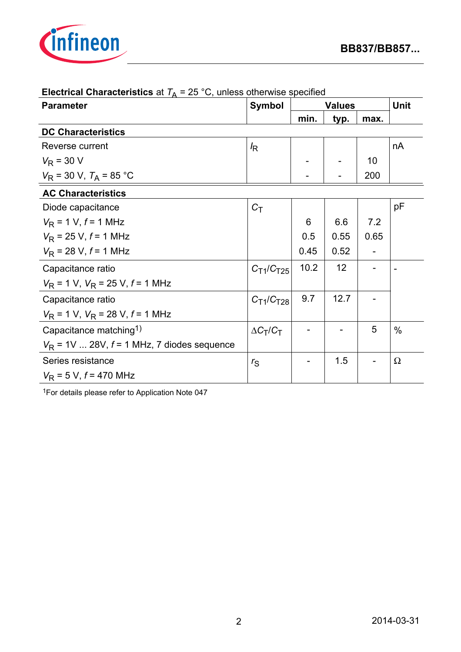

| <b>Parameter</b>                                | <b>Symbol</b>    | <b>Values</b> |      |      | <b>Unit</b> |
|-------------------------------------------------|------------------|---------------|------|------|-------------|
|                                                 |                  | min.          | typ. | max. |             |
| <b>DC Characteristics</b>                       |                  |               |      |      |             |
| Reverse current                                 | $\sqrt{R}$       |               |      |      | nA          |
| $V_{\rm R}$ = 30 V                              |                  |               |      | 10   |             |
| $V_R$ = 30 V, $T_A$ = 85 °C                     |                  |               |      | 200  |             |
| <b>AC Characteristics</b>                       |                  |               |      |      |             |
| Diode capacitance                               | $C_{\text{T}}$   |               |      |      | рF          |
| $V_{\rm R}$ = 1 V, f = 1 MHz                    |                  | 6             | 6.6  | 7.2  |             |
| $V_{\rm R}$ = 25 V, $f$ = 1 MHz                 |                  | 0.5           | 0.55 | 0.65 |             |
| $V_R$ = 28 V, $f$ = 1 MHz                       |                  | 0.45          | 0.52 |      |             |
| Capacitance ratio                               | $C_{T1}/C_{T25}$ | 10.2          | 12   |      |             |
| $V_R$ = 1 V, $V_R$ = 25 V, $f$ = 1 MHz          |                  |               |      |      |             |
| Capacitance ratio                               | $C_{T1}/C_{T28}$ | 9.7           | 12.7 |      |             |
| $V_R$ = 1 V, $V_R$ = 28 V, $f$ = 1 MHz          |                  |               |      |      |             |
| Capacitance matching <sup>1)</sup>              | $\Delta C_T/C_T$ |               |      | 5    | $\%$        |
| $V_R$ = 1V  28V, $f$ = 1 MHz, 7 diodes sequence |                  |               |      |      |             |
| Series resistance                               | $r_S$            |               | 1.5  |      | $\Omega$    |
| $V_{\rm R}$ = 5 V, f = 470 MHz                  |                  |               |      |      |             |

# **Electrical Characteristics** at  $T_A = 25 \degree C$ , unless otherwise specified

1For details please refer to Application Note 047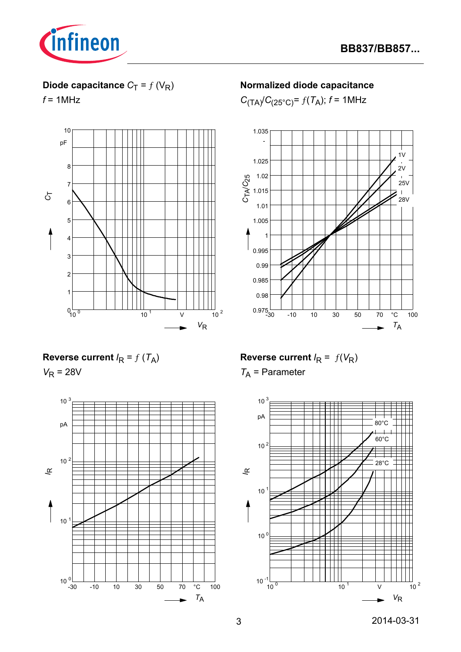



# **Diode capacitance**  $C_T = f(V_R)$

*f* = 1MHz



#### **Normalized diode capacitance**

*C*(TA)/*C*(25°C)= ƒ(*T*A); *f* = 1MHz



**Reverse current**  $I_R = f(T_A)$ 

 $V_R = 28V$ 



**Reverse current**  $I_R = f(V_R)$ *T*A = Parameter

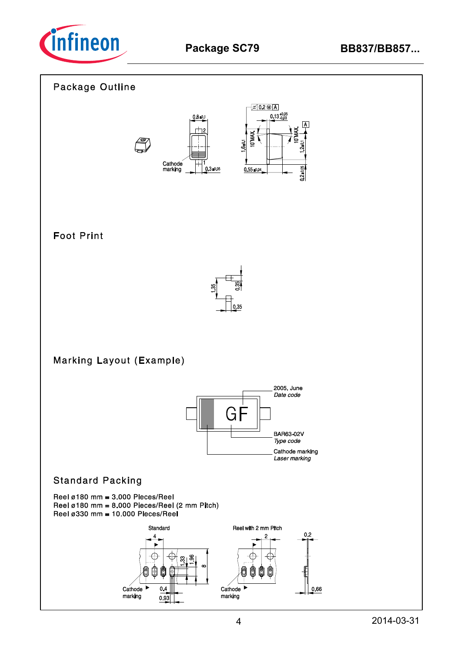

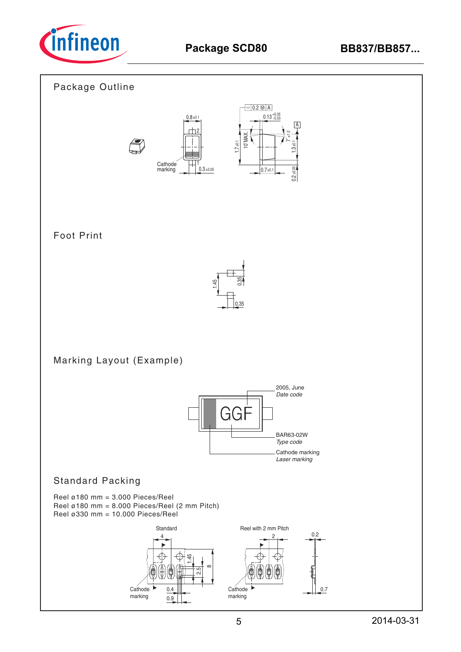

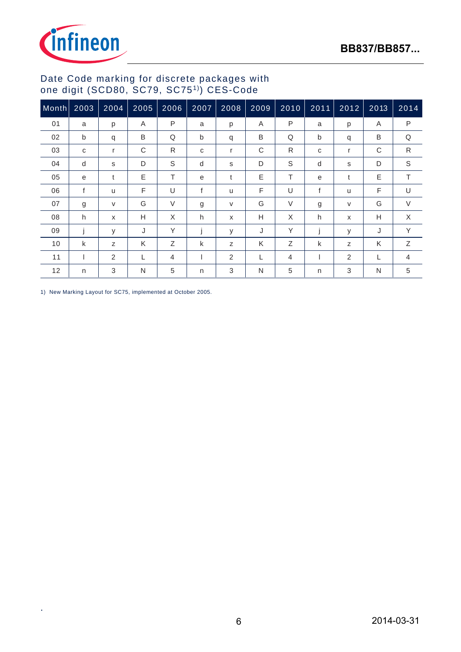

### Date Code marking for discrete packages with one digit (SCD80, SC79, SC751)) CES-Code

| Month | 2003 | 2004   | 2005 | 2006   | 2007 | 2008                      | 2009 | 2010           | 2011 | 2012 | 2013 | 2014         |
|-------|------|--------|------|--------|------|---------------------------|------|----------------|------|------|------|--------------|
| 01    | a    | p      | A    | P      | a    | p                         | A    | P              | a    | p    | Α    | P            |
| 02    | b    | q      | B    | Q      | b    | q                         | B    | Q              | b    | q    | B    | Q            |
| 03    | C    | r      | C    | R      | C    | r                         | C    | R              | C    | r    | С    | $\mathsf{R}$ |
| 04    | d    | s      | D    | S      | d    | s                         | D    | S              | d    | s    | D    | $\mathbb S$  |
| 05    | e    | t      | E    | T      | e    | t                         | E    | т              | e    | t    | Ε    | T            |
| 06    | f    | u      | F    | U      | f    | u                         | F    | U              | f    | u    | F    | U            |
| 07    | g    | $\vee$ | G    | $\vee$ | g    | V                         | G    | $\vee$         | g    | V    | G    | $\vee$       |
| 08    | h    | X      | H    | X      | h    | $\boldsymbol{\mathsf{x}}$ | Н    | X              | h    | X    | Н    | X            |
| 09    |      | У      | J    | Y      |      | У                         | J    | Y              |      | у    | J    | Y            |
| 10    | k    | Z      | K    | Ζ      | k    | z                         | K    | Ζ              | k    | Z    | K    | Ζ            |
| 11    |      | 2      | L    | 4      |      | 2                         | L    | $\overline{4}$ |      | 2    | L    | 4            |
| 12    | n    | 3      | N    | 5      | n    | 3                         | N    | 5              | n    | 3    | N    | 5            |

1) New Marking Layout for SC75, implemented at October 2005.

.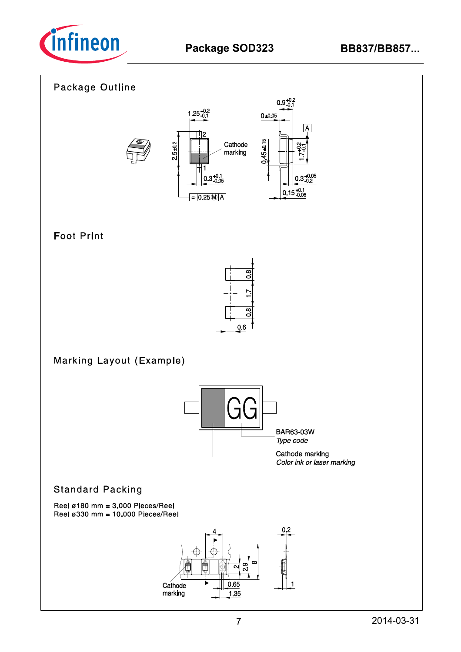